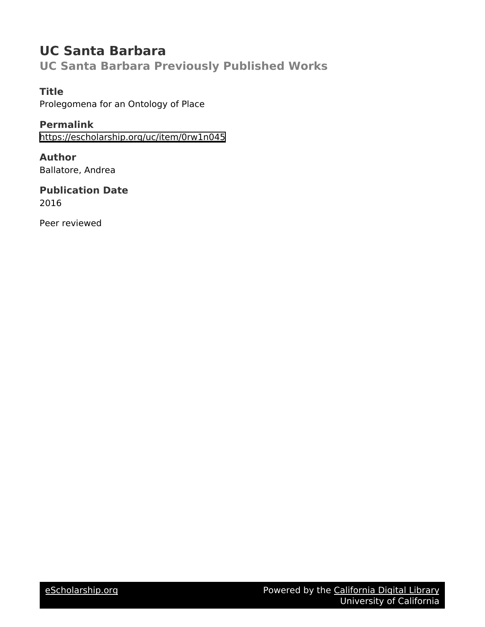## **UC Santa Barbara**

**UC Santa Barbara Previously Published Works**

## **Title**

Prolegomena for an Ontology of Place

**Permalink** <https://escholarship.org/uc/item/0rw1n045>

**Author** Ballatore, Andrea

**Publication Date** 2016

Peer reviewed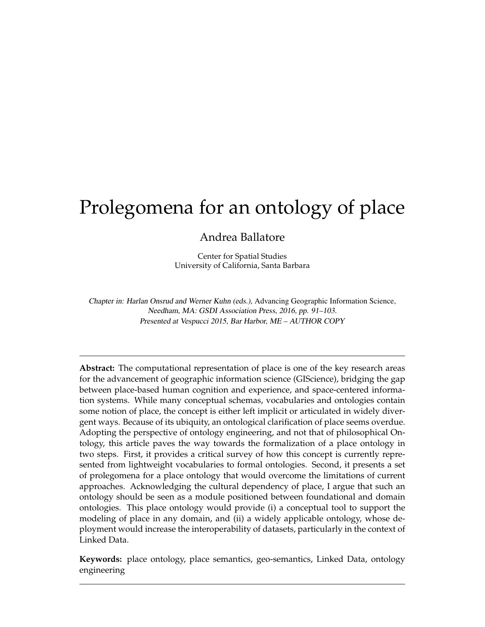# Prolegomena for an ontology of place

Andrea Ballatore

Center for Spatial Studies University of California, Santa Barbara

Chapter in: Harlan Onsrud and Werner Kuhn (eds.), Advancing Geographic Information Science, Needham, MA: GSDI Association Press, 2016, pp. 91–103. Presented at Vespucci 2015, Bar Harbor, ME – AUTHOR COPY

**Abstract:** The computational representation of place is one of the key research areas for the advancement of geographic information science (GIScience), bridging the gap between place-based human cognition and experience, and space-centered information systems. While many conceptual schemas, vocabularies and ontologies contain some notion of place, the concept is either left implicit or articulated in widely divergent ways. Because of its ubiquity, an ontological clarification of place seems overdue. Adopting the perspective of ontology engineering, and not that of philosophical Ontology, this article paves the way towards the formalization of a place ontology in two steps. First, it provides a critical survey of how this concept is currently represented from lightweight vocabularies to formal ontologies. Second, it presents a set of prolegomena for a place ontology that would overcome the limitations of current approaches. Acknowledging the cultural dependency of place, I argue that such an ontology should be seen as a module positioned between foundational and domain ontologies. This place ontology would provide (i) a conceptual tool to support the modeling of place in any domain, and (ii) a widely applicable ontology, whose deployment would increase the interoperability of datasets, particularly in the context of Linked Data.

**Keywords:** place ontology, place semantics, geo-semantics, Linked Data, ontology engineering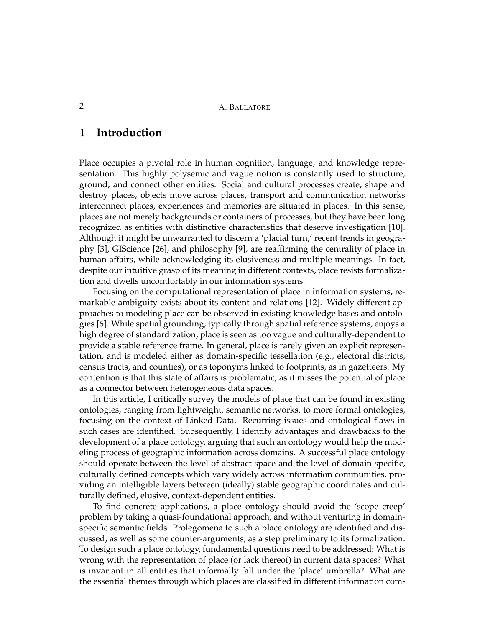## **1 Introduction**

Place occupies a pivotal role in human cognition, language, and knowledge representation. This highly polysemic and vague notion is constantly used to structure, ground, and connect other entities. Social and cultural processes create, shape and destroy places, objects move across places, transport and communication networks interconnect places, experiences and memories are situated in places. In this sense, places are not merely backgrounds or containers of processes, but they have been long recognized as entities with distinctive characteristics that deserve investigation [10]. Although it might be unwarranted to discern a 'placial turn,' recent trends in geography [3], GIScience [26], and philosophy [9], are reaffirming the centrality of place in human affairs, while acknowledging its elusiveness and multiple meanings. In fact, despite our intuitive grasp of its meaning in different contexts, place resists formalization and dwells uncomfortably in our information systems.

Focusing on the computational representation of place in information systems, remarkable ambiguity exists about its content and relations [12]. Widely different approaches to modeling place can be observed in existing knowledge bases and ontologies [6]. While spatial grounding, typically through spatial reference systems, enjoys a high degree of standardization, place is seen as too vague and culturally-dependent to provide a stable reference frame. In general, place is rarely given an explicit representation, and is modeled either as domain-specific tessellation (e.g., electoral districts, census tracts, and counties), or as toponyms linked to footprints, as in gazetteers. My contention is that this state of affairs is problematic, as it misses the potential of place as a connector between heterogeneous data spaces.

In this article, I critically survey the models of place that can be found in existing ontologies, ranging from lightweight, semantic networks, to more formal ontologies, focusing on the context of Linked Data. Recurring issues and ontological flaws in such cases are identified. Subsequently, I identify advantages and drawbacks to the development of a place ontology, arguing that such an ontology would help the modeling process of geographic information across domains. A successful place ontology should operate between the level of abstract space and the level of domain-specific, culturally defined concepts which vary widely across information communities, providing an intelligible layers between (ideally) stable geographic coordinates and culturally defined, elusive, context-dependent entities.

To find concrete applications, a place ontology should avoid the 'scope creep' problem by taking a quasi-foundational approach, and without venturing in domainspecific semantic fields. Prolegomena to such a place ontology are identified and discussed, as well as some counter-arguments, as a step preliminary to its formalization. To design such a place ontology, fundamental questions need to be addressed: What is wrong with the representation of place (or lack thereof) in current data spaces? What is invariant in all entities that informally fall under the 'place' umbrella? What are the essential themes through which places are classified in different information com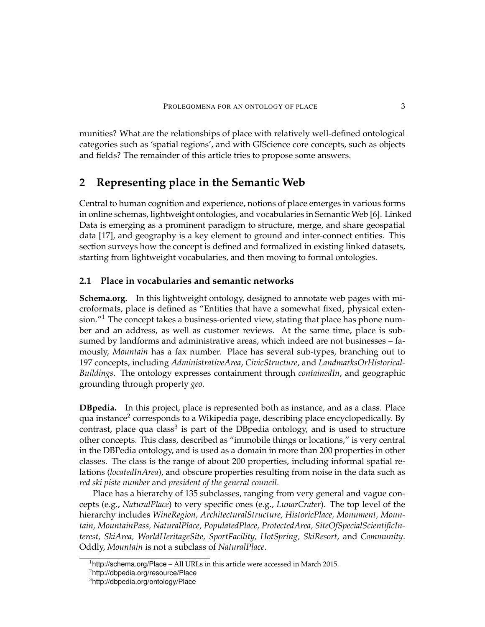munities? What are the relationships of place with relatively well-defined ontological categories such as 'spatial regions', and with GIScience core concepts, such as objects and fields? The remainder of this article tries to propose some answers.

## **2 Representing place in the Semantic Web**

Central to human cognition and experience, notions of place emerges in various forms in online schemas, lightweight ontologies, and vocabularies in Semantic Web [6]. Linked Data is emerging as a prominent paradigm to structure, merge, and share geospatial data [17], and geography is a key element to ground and inter-connect entities. This section surveys how the concept is defined and formalized in existing linked datasets, starting from lightweight vocabularies, and then moving to formal ontologies.

#### **2.1 Place in vocabularies and semantic networks**

**Schema.org.** In this lightweight ontology, designed to annotate web pages with microformats, place is defined as "Entities that have a somewhat fixed, physical extension."<sup>1</sup> The concept takes a business-oriented view, stating that place has phone number and an address, as well as customer reviews. At the same time, place is subsumed by landforms and administrative areas, which indeed are not businesses – famously, *Mountain* has a fax number. Place has several sub-types, branching out to 197 concepts, including *AdministrativeArea*, *CivicStructure*, and *LandmarksOrHistorical-Buildings*. The ontology expresses containment through *containedIn*, and geographic grounding through property *geo*.

**DBpedia.** In this project, place is represented both as instance, and as a class. Place qua instance<sup>2</sup> corresponds to a Wikipedia page, describing place encyclopedically. By contrast, place qua class<sup>3</sup> is part of the DBpedia ontology, and is used to structure other concepts. This class, described as "immobile things or locations," is very central in the DBPedia ontology, and is used as a domain in more than 200 properties in other classes. The class is the range of about 200 properties, including informal spatial relations (*locatedInArea*), and obscure properties resulting from noise in the data such as *red ski piste number* and *president of the general council*.

Place has a hierarchy of 135 subclasses, ranging from very general and vague concepts (e.g., *NaturalPlace*) to very specific ones (e.g., *LunarCrater*). The top level of the hierarchy includes *WineRegion, ArchitecturalStructure, HistoricPlace, Monument, Mountain, MountainPass, NaturalPlace, PopulatedPlace, ProtectedArea, SiteOfSpecialScientificInterest, SkiArea, WorldHeritageSite, SportFacility, HotSpring, SkiResort*, and *Community*. Oddly, *Mountain* is not a subclass of *NaturalPlace*.

 $^1$ http://schema.org/Place – All URLs in this article were accessed in March 2015.

<sup>2</sup> http://dbpedia.org/resource/Place

<sup>3</sup> http://dbpedia.org/ontology/Place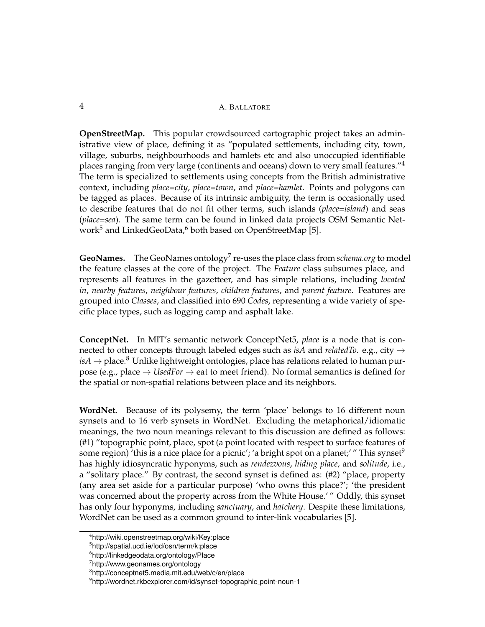#### 4 A. BALLATORE

**OpenStreetMap.** This popular crowdsourced cartographic project takes an administrative view of place, defining it as "populated settlements, including city, town, village, suburbs, neighbourhoods and hamlets etc and also unoccupied identifiable places ranging from very large (continents and oceans) down to very small features."<sup>4</sup> The term is specialized to settlements using concepts from the British administrative context, including *place=city*, *place=town*, and *place=hamlet*. Points and polygons can be tagged as places. Because of its intrinsic ambiguity, the term is occasionally used to describe features that do not fit other terms, such islands (*place=island*) and seas (*place=sea*). The same term can be found in linked data projects OSM Semantic Network<sup>5</sup> and LinkedGeoData,<sup>6</sup> both based on OpenStreetMap [5].

GeoNames. The GeoNames ontology<sup>7</sup> re-uses the place class from *schema.org* to model the feature classes at the core of the project. The *Feature* class subsumes place, and represents all features in the gazetteer, and has simple relations, including *located in*, *nearby features*, *neighbour features*, *children features*, and *parent feature*. Features are grouped into *Classes*, and classified into 690 *Codes*, representing a wide variety of specific place types, such as logging camp and asphalt lake.

**ConceptNet.** In MIT's semantic network ConceptNet5, *place* is a node that is connected to other concepts through labeled edges such as *isA* and *relatedTo*. e.g., city →  $i sA \rightarrow$  place.<sup>8</sup> Unlike lightweight ontologies, place has relations related to human purpose (e.g., place → *UsedFor* → eat to meet friend). No formal semantics is defined for the spatial or non-spatial relations between place and its neighbors.

**WordNet.** Because of its polysemy, the term 'place' belongs to 16 different noun synsets and to 16 verb synsets in WordNet. Excluding the metaphorical/idiomatic meanings, the two noun meanings relevant to this discussion are defined as follows: (#1) "topographic point, place, spot (a point located with respect to surface features of some region) 'this is a nice place for a picnic'; 'a bright spot on a planet;' " This synset<sup>9</sup> has highly idiosyncratic hyponyms, such as *rendezvous*, *hiding place*, and *solitude*, i.e., a "solitary place." By contrast, the second synset is defined as: (#2) "place, property (any area set aside for a particular purpose) 'who owns this place?'; 'the president was concerned about the property across from the White House.' " Oddly, this synset has only four hyponyms, including *sanctuary*, and *hatchery*. Despite these limitations, WordNet can be used as a common ground to inter-link vocabularies [5].

<sup>4</sup> http://wiki.openstreetmap.org/wiki/Key:place

<sup>5</sup> http://spatial.ucd.ie/lod/osn/term/k:place

<sup>6</sup> http://linkedgeodata.org/ontology/Place

<sup>7</sup> http://www.geonames.org/ontology

<sup>8</sup> http://conceptnet5.media.mit.edu/web/c/en/place

<sup>&</sup>lt;sup>9</sup>http://wordnet.rkbexplorer.com/id/synset-topographic<sub>-</sub>point-noun-1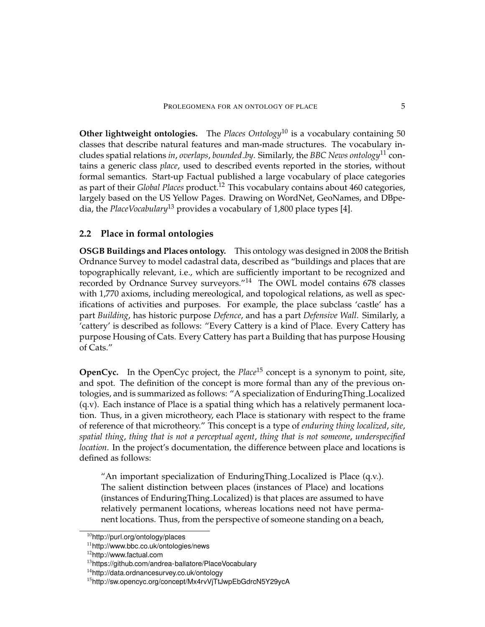**Other lightweight ontologies.** The *Places Ontology*<sup>10</sup> is a vocabulary containing 50 classes that describe natural features and man-made structures. The vocabulary includes spatial relations *in*, *overlaps*, *bounded by*. Similarly, the *BBC News ontology*<sup>11</sup> contains a generic class *place*, used to described events reported in the stories, without formal semantics. Start-up Factual published a large vocabulary of place categories as part of their *Global Places* product.<sup>12</sup> This vocabulary contains about 460 categories, largely based on the US Yellow Pages. Drawing on WordNet, GeoNames, and DBpedia, the *PlaceVocabulary*<sup>13</sup> provides a vocabulary of 1,800 place types [4].

#### **2.2 Place in formal ontologies**

**OSGB Buildings and Places ontology.** This ontology was designed in 2008 the British Ordnance Survey to model cadastral data, described as "buildings and places that are topographically relevant, i.e., which are sufficiently important to be recognized and recorded by Ordnance Survey surveyors."<sup>14</sup> The OWL model contains 678 classes with 1,770 axioms, including mereological, and topological relations, as well as specifications of activities and purposes. For example, the place subclass 'castle' has a part *Building*, has historic purpose *Defence*, and has a part *Defensive Wall*. Similarly, a 'cattery' is described as follows: "Every Cattery is a kind of Place. Every Cattery has purpose Housing of Cats. Every Cattery has part a Building that has purpose Housing of Cats."

**OpenCyc.** In the OpenCyc project, the *Place*<sup>15</sup> concept is a synonym to point, site, and spot. The definition of the concept is more formal than any of the previous ontologies, and is summarized as follows: "A specialization of EnduringThing Localized (q.v). Each instance of Place is a spatial thing which has a relatively permanent location. Thus, in a given microtheory, each Place is stationary with respect to the frame of reference of that microtheory." This concept is a type of *enduring thing localized*, *site*, *spatial thing*, *thing that is not a perceptual agent*, *thing that is not someone*, *underspecified location*. In the project's documentation, the difference between place and locations is defined as follows:

"An important specialization of EnduringThing Localized is Place (q.v.). The salient distinction between places (instances of Place) and locations (instances of EnduringThing Localized) is that places are assumed to have relatively permanent locations, whereas locations need not have permanent locations. Thus, from the perspective of someone standing on a beach,

 $10$ http://purl.org/ontology/places

<sup>11</sup>http://www.bbc.co.uk/ontologies/news

<sup>12</sup>http://www.factual.com

<sup>&</sup>lt;sup>13</sup>https://github.com/andrea-ballatore/PlaceVocabulary

<sup>14</sup>http://data.ordnancesurvey.co.uk/ontology

<sup>15</sup>http://sw.opencyc.org/concept/Mx4rvVjTtJwpEbGdrcN5Y29ycA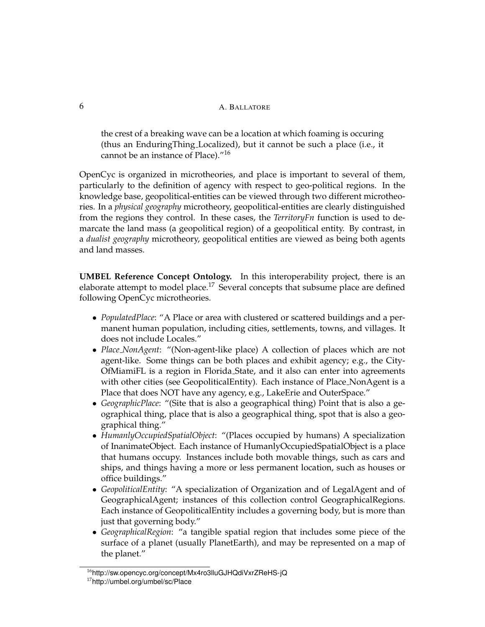the crest of a breaking wave can be a location at which foaming is occuring (thus an EnduringThing Localized), but it cannot be such a place (i.e., it cannot be an instance of Place)."<sup>16</sup>

OpenCyc is organized in microtheories, and place is important to several of them, particularly to the definition of agency with respect to geo-political regions. In the knowledge base, geopolitical-entities can be viewed through two different microtheories. In a *physical geography* microtheory, geopolitical-entities are clearly distinguished from the regions they control. In these cases, the *TerritoryFn* function is used to demarcate the land mass (a geopolitical region) of a geopolitical entity. By contrast, in a *dualist geography* microtheory, geopolitical entities are viewed as being both agents and land masses.

**UMBEL Reference Concept Ontology.** In this interoperability project, there is an elaborate attempt to model place.<sup>17</sup> Several concepts that subsume place are defined following OpenCyc microtheories.

- *PopulatedPlace*: "A Place or area with clustered or scattered buildings and a permanent human population, including cities, settlements, towns, and villages. It does not include Locales."
- *Place NonAgent*: "(Non-agent-like place) A collection of places which are not agent-like. Some things can be both places and exhibit agency; e.g., the City-OfMiamiFL is a region in Florida State, and it also can enter into agreements with other cities (see GeopoliticalEntity). Each instance of Place NonAgent is a Place that does NOT have any agency, e.g., LakeErie and OuterSpace."
- *GeographicPlace*: "(Site that is also a geographical thing) Point that is also a geographical thing, place that is also a geographical thing, spot that is also a geographical thing."
- *HumanlyOccupiedSpatialObject*: "(Places occupied by humans) A specialization of InanimateObject. Each instance of HumanlyOccupiedSpatialObject is a place that humans occupy. Instances include both movable things, such as cars and ships, and things having a more or less permanent location, such as houses or office buildings."
- *GeopoliticalEntity*: "A specialization of Organization and of LegalAgent and of GeographicalAgent; instances of this collection control GeographicalRegions. Each instance of GeopoliticalEntity includes a governing body, but is more than just that governing body."
- *GeographicalRegion*: "a tangible spatial region that includes some piece of the surface of a planet (usually PlanetEarth), and may be represented on a map of the planet."

<sup>&</sup>lt;sup>16</sup>http://sw.opencyc.org/concept/Mx4ro3lluGJHQdiVxrZReHS-jQ <sup>17</sup>http://umbel.org/umbel/sc/Place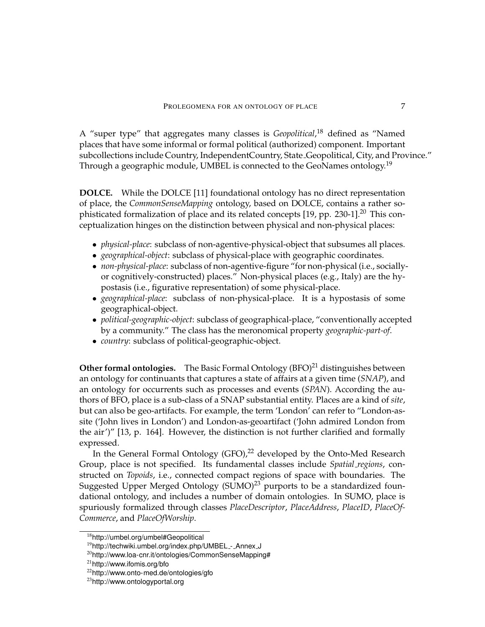A "super type" that aggregates many classes is *Geopolitical*, <sup>18</sup> defined as "Named places that have some informal or formal political (authorized) component. Important subcollections include Country, IndependentCountry, State Geopolitical, City, and Province." Through a geographic module, UMBEL is connected to the GeoNames ontology.<sup>19</sup>

**DOLCE.** While the DOLCE [11] foundational ontology has no direct representation of place, the *CommonSenseMapping* ontology, based on DOLCE, contains a rather sophisticated formalization of place and its related concepts [19, pp. 230-1].<sup>20</sup> This conceptualization hinges on the distinction between physical and non-physical places:

- *physical-place*: subclass of non-agentive-physical-object that subsumes all places.
- *geographical-object*: subclass of physical-place with geographic coordinates.
- *non-physical-place*: subclass of non-agentive-figure "for non-physical (i.e., sociallyor cognitively-constructed) places." Non-physical places (e.g., Italy) are the hypostasis (i.e., figurative representation) of some physical-place.
- *geographical-place*: subclass of non-physical-place. It is a hypostasis of some geographical-object.
- *political-geographic-object*: subclass of geographical-place, "conventionally accepted by a community." The class has the meronomical property *geographic-part-of*.
- *country*: subclass of political-geographic-object.

**Other formal ontologies.** The Basic Formal Ontology  $(BFO)^{21}$  distinguishes between an ontology for continuants that captures a state of affairs at a given time (*SNAP*), and an ontology for occurrents such as processes and events (*SPAN*). According the authors of BFO, place is a sub-class of a SNAP substantial entity. Places are a kind of *site*, but can also be geo-artifacts. For example, the term 'London' can refer to "London-assite ('John lives in London') and London-as-geoartifact ('John admired London from the air')" [13, p. 164]. However, the distinction is not further clarified and formally expressed.

In the General Formal Ontology (GFO), $^{22}$  developed by the Onto-Med Research Group, place is not specified. Its fundamental classes include *Spatial regions*, constructed on *Topoids*, i.e., connected compact regions of space with boundaries. The Suggested Upper Merged Ontology (SUMO)<sup>23</sup> purports to be a standardized foundational ontology, and includes a number of domain ontologies. In SUMO, place is spuriously formalized through classes *PlaceDescriptor*, *PlaceAddress*, *PlaceID*, *PlaceOf-Commerce*, and *PlaceOfWorship*.

<sup>18</sup>http://umbel.org/umbel#Geopolitical

<sup>&</sup>lt;sup>19</sup>http://techwiki.umbel.org/index.php/UMBEL\_-\_Annex\_J

<sup>20</sup>http://www.loa-cnr.it/ontologies/CommonSenseMapping#

<sup>21</sup>http://www.ifomis.org/bfo

<sup>22</sup>http://www.onto-med.de/ontologies/gfo

<sup>23</sup>http://www.ontologyportal.org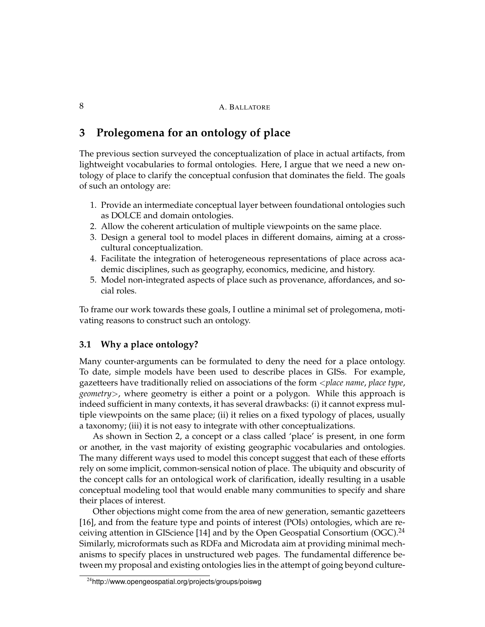## **3 Prolegomena for an ontology of place**

The previous section surveyed the conceptualization of place in actual artifacts, from lightweight vocabularies to formal ontologies. Here, I argue that we need a new ontology of place to clarify the conceptual confusion that dominates the field. The goals of such an ontology are:

- 1. Provide an intermediate conceptual layer between foundational ontologies such as DOLCE and domain ontologies.
- 2. Allow the coherent articulation of multiple viewpoints on the same place.
- 3. Design a general tool to model places in different domains, aiming at a crosscultural conceptualization.
- 4. Facilitate the integration of heterogeneous representations of place across academic disciplines, such as geography, economics, medicine, and history.
- 5. Model non-integrated aspects of place such as provenance, affordances, and social roles.

To frame our work towards these goals, I outline a minimal set of prolegomena, motivating reasons to construct such an ontology.

#### **3.1 Why a place ontology?**

Many counter-arguments can be formulated to deny the need for a place ontology. To date, simple models have been used to describe places in GISs. For example, gazetteers have traditionally relied on associations of the form <*place name*, *place type*, *geometry*>, where geometry is either a point or a polygon. While this approach is indeed sufficient in many contexts, it has several drawbacks: (i) it cannot express multiple viewpoints on the same place; (ii) it relies on a fixed typology of places, usually a taxonomy; (iii) it is not easy to integrate with other conceptualizations.

As shown in Section 2, a concept or a class called 'place' is present, in one form or another, in the vast majority of existing geographic vocabularies and ontologies. The many different ways used to model this concept suggest that each of these efforts rely on some implicit, common-sensical notion of place. The ubiquity and obscurity of the concept calls for an ontological work of clarification, ideally resulting in a usable conceptual modeling tool that would enable many communities to specify and share their places of interest.

Other objections might come from the area of new generation, semantic gazetteers [16], and from the feature type and points of interest (POIs) ontologies, which are receiving attention in GIScience [14] and by the Open Geospatial Consortium (OGC).<sup>24</sup> Similarly, microformats such as RDFa and Microdata aim at providing minimal mechanisms to specify places in unstructured web pages. The fundamental difference between my proposal and existing ontologies lies in the attempt of going beyond culture-

<sup>24</sup>http://www.opengeospatial.org/projects/groups/poiswg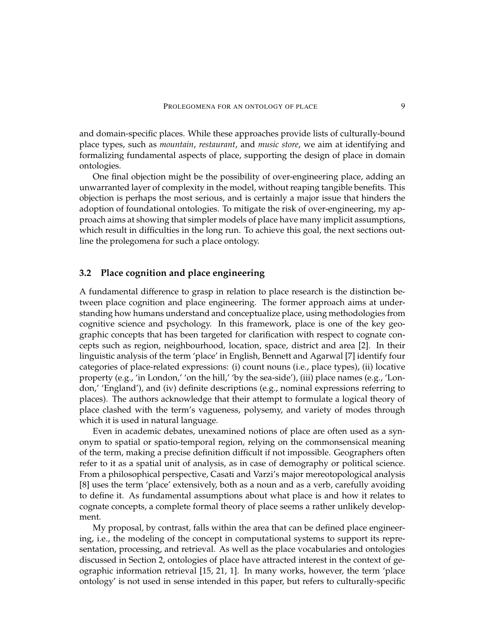and domain-specific places. While these approaches provide lists of culturally-bound place types, such as *mountain*, *restaurant*, and *music store*, we aim at identifying and formalizing fundamental aspects of place, supporting the design of place in domain ontologies.

One final objection might be the possibility of over-engineering place, adding an unwarranted layer of complexity in the model, without reaping tangible benefits. This objection is perhaps the most serious, and is certainly a major issue that hinders the adoption of foundational ontologies. To mitigate the risk of over-engineering, my approach aims at showing that simpler models of place have many implicit assumptions, which result in difficulties in the long run. To achieve this goal, the next sections outline the prolegomena for such a place ontology.

#### **3.2 Place cognition and place engineering**

A fundamental difference to grasp in relation to place research is the distinction between place cognition and place engineering. The former approach aims at understanding how humans understand and conceptualize place, using methodologies from cognitive science and psychology. In this framework, place is one of the key geographic concepts that has been targeted for clarification with respect to cognate concepts such as region, neighbourhood, location, space, district and area [2]. In their linguistic analysis of the term 'place' in English, Bennett and Agarwal [7] identify four categories of place-related expressions: (i) count nouns (i.e., place types), (ii) locative property (e.g., 'in London,' 'on the hill,' 'by the sea-side'), (iii) place names (e.g., 'London,' 'England'), and (iv) definite descriptions (e.g., nominal expressions referring to places). The authors acknowledge that their attempt to formulate a logical theory of place clashed with the term's vagueness, polysemy, and variety of modes through which it is used in natural language.

Even in academic debates, unexamined notions of place are often used as a synonym to spatial or spatio-temporal region, relying on the commonsensical meaning of the term, making a precise definition difficult if not impossible. Geographers often refer to it as a spatial unit of analysis, as in case of demography or political science. From a philosophical perspective, Casati and Varzi's major mereotopological analysis [8] uses the term 'place' extensively, both as a noun and as a verb, carefully avoiding to define it. As fundamental assumptions about what place is and how it relates to cognate concepts, a complete formal theory of place seems a rather unlikely development.

My proposal, by contrast, falls within the area that can be defined place engineering, i.e., the modeling of the concept in computational systems to support its representation, processing, and retrieval. As well as the place vocabularies and ontologies discussed in Section 2, ontologies of place have attracted interest in the context of geographic information retrieval [15, 21, 1]. In many works, however, the term 'place ontology' is not used in sense intended in this paper, but refers to culturally-specific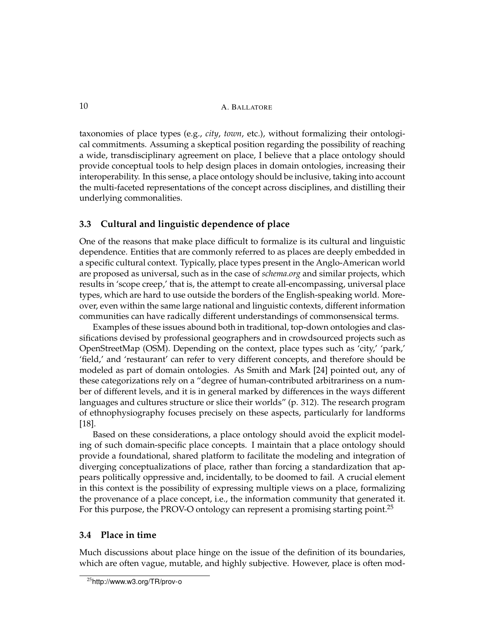10 A. BALLATORE

taxonomies of place types (e.g., *city*, *town*, etc.), without formalizing their ontological commitments. Assuming a skeptical position regarding the possibility of reaching a wide, transdisciplinary agreement on place, I believe that a place ontology should provide conceptual tools to help design places in domain ontologies, increasing their interoperability. In this sense, a place ontology should be inclusive, taking into account the multi-faceted representations of the concept across disciplines, and distilling their underlying commonalities.

#### **3.3 Cultural and linguistic dependence of place**

One of the reasons that make place difficult to formalize is its cultural and linguistic dependence. Entities that are commonly referred to as places are deeply embedded in a specific cultural context. Typically, place types present in the Anglo-American world are proposed as universal, such as in the case of *schema.org* and similar projects, which results in 'scope creep,' that is, the attempt to create all-encompassing, universal place types, which are hard to use outside the borders of the English-speaking world. Moreover, even within the same large national and linguistic contexts, different information communities can have radically different understandings of commonsensical terms.

Examples of these issues abound both in traditional, top-down ontologies and classifications devised by professional geographers and in crowdsourced projects such as OpenStreetMap (OSM). Depending on the context, place types such as 'city,' 'park,' 'field,' and 'restaurant' can refer to very different concepts, and therefore should be modeled as part of domain ontologies. As Smith and Mark [24] pointed out, any of these categorizations rely on a "degree of human-contributed arbitrariness on a number of different levels, and it is in general marked by differences in the ways different languages and cultures structure or slice their worlds" (p. 312). The research program of ethnophysiography focuses precisely on these aspects, particularly for landforms [18].

Based on these considerations, a place ontology should avoid the explicit modeling of such domain-specific place concepts. I maintain that a place ontology should provide a foundational, shared platform to facilitate the modeling and integration of diverging conceptualizations of place, rather than forcing a standardization that appears politically oppressive and, incidentally, to be doomed to fail. A crucial element in this context is the possibility of expressing multiple views on a place, formalizing the provenance of a place concept, i.e., the information community that generated it. For this purpose, the PROV-O ontology can represent a promising starting point.<sup>25</sup>

#### **3.4 Place in time**

Much discussions about place hinge on the issue of the definition of its boundaries, which are often vague, mutable, and highly subjective. However, place is often mod-

<sup>25</sup>http://www.w3.org/TR/prov-o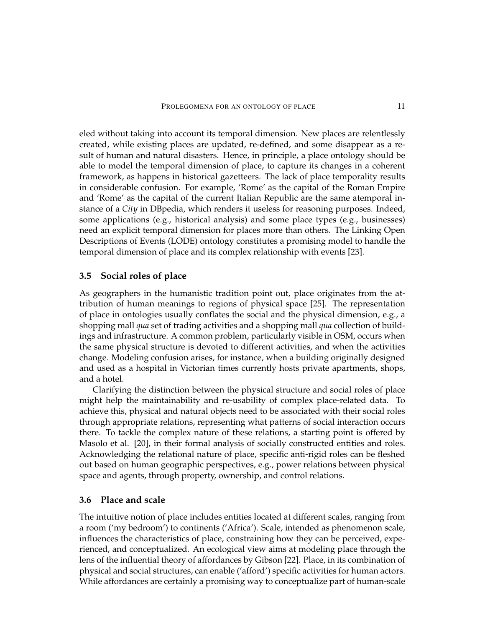eled without taking into account its temporal dimension. New places are relentlessly created, while existing places are updated, re-defined, and some disappear as a result of human and natural disasters. Hence, in principle, a place ontology should be able to model the temporal dimension of place, to capture its changes in a coherent framework, as happens in historical gazetteers. The lack of place temporality results in considerable confusion. For example, 'Rome' as the capital of the Roman Empire and 'Rome' as the capital of the current Italian Republic are the same atemporal instance of a *City* in DBpedia, which renders it useless for reasoning purposes. Indeed, some applications (e.g., historical analysis) and some place types (e.g., businesses) need an explicit temporal dimension for places more than others. The Linking Open Descriptions of Events (LODE) ontology constitutes a promising model to handle the temporal dimension of place and its complex relationship with events [23].

#### **3.5 Social roles of place**

As geographers in the humanistic tradition point out, place originates from the attribution of human meanings to regions of physical space [25]. The representation of place in ontologies usually conflates the social and the physical dimension, e.g., a shopping mall *qua* set of trading activities and a shopping mall *qua* collection of buildings and infrastructure. A common problem, particularly visible in OSM, occurs when the same physical structure is devoted to different activities, and when the activities change. Modeling confusion arises, for instance, when a building originally designed and used as a hospital in Victorian times currently hosts private apartments, shops, and a hotel.

Clarifying the distinction between the physical structure and social roles of place might help the maintainability and re-usability of complex place-related data. To achieve this, physical and natural objects need to be associated with their social roles through appropriate relations, representing what patterns of social interaction occurs there. To tackle the complex nature of these relations, a starting point is offered by Masolo et al. [20], in their formal analysis of socially constructed entities and roles. Acknowledging the relational nature of place, specific anti-rigid roles can be fleshed out based on human geographic perspectives, e.g., power relations between physical space and agents, through property, ownership, and control relations.

#### **3.6 Place and scale**

The intuitive notion of place includes entities located at different scales, ranging from a room ('my bedroom') to continents ('Africa'). Scale, intended as phenomenon scale, influences the characteristics of place, constraining how they can be perceived, experienced, and conceptualized. An ecological view aims at modeling place through the lens of the influential theory of affordances by Gibson [22]. Place, in its combination of physical and social structures, can enable ('afford') specific activities for human actors. While affordances are certainly a promising way to conceptualize part of human-scale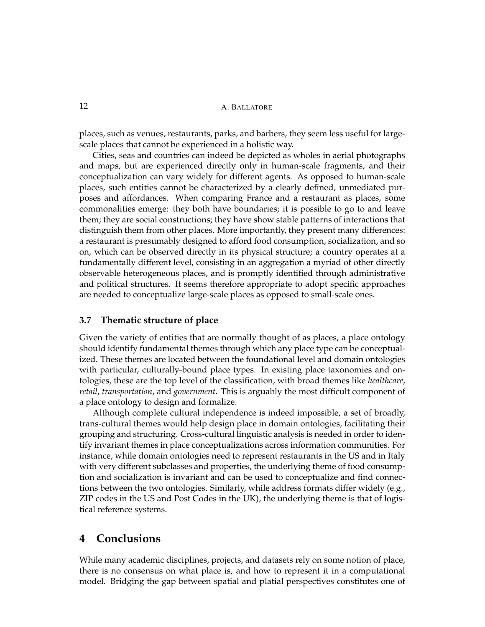#### 12 A. BALLATORE

places, such as venues, restaurants, parks, and barbers, they seem less useful for largescale places that cannot be experienced in a holistic way.

Cities, seas and countries can indeed be depicted as wholes in aerial photographs and maps, but are experienced directly only in human-scale fragments, and their conceptualization can vary widely for different agents. As opposed to human-scale places, such entities cannot be characterized by a clearly defined, unmediated purposes and affordances. When comparing France and a restaurant as places, some commonalities emerge: they both have boundaries; it is possible to go to and leave them; they are social constructions; they have show stable patterns of interactions that distinguish them from other places. More importantly, they present many differences: a restaurant is presumably designed to afford food consumption, socialization, and so on, which can be observed directly in its physical structure; a country operates at a fundamentally different level, consisting in an aggregation a myriad of other directly observable heterogeneous places, and is promptly identified through administrative and political structures. It seems therefore appropriate to adopt specific approaches are needed to conceptualize large-scale places as opposed to small-scale ones.

#### **3.7 Thematic structure of place**

Given the variety of entities that are normally thought of as places, a place ontology should identify fundamental themes through which any place type can be conceptualized. These themes are located between the foundational level and domain ontologies with particular, culturally-bound place types. In existing place taxonomies and ontologies, these are the top level of the classification, with broad themes like *healthcare*, *retail*, *transportation*, and *government*. This is arguably the most difficult component of a place ontology to design and formalize.

Although complete cultural independence is indeed impossible, a set of broadly, trans-cultural themes would help design place in domain ontologies, facilitating their grouping and structuring. Cross-cultural linguistic analysis is needed in order to identify invariant themes in place conceptualizations across information communities. For instance, while domain ontologies need to represent restaurants in the US and in Italy with very different subclasses and properties, the underlying theme of food consumption and socialization is invariant and can be used to conceptualize and find connections between the two ontologies. Similarly, while address formats differ widely (e.g., ZIP codes in the US and Post Codes in the UK), the underlying theme is that of logistical reference systems.

## **4 Conclusions**

While many academic disciplines, projects, and datasets rely on some notion of place, there is no consensus on what place is, and how to represent it in a computational model. Bridging the gap between spatial and platial perspectives constitutes one of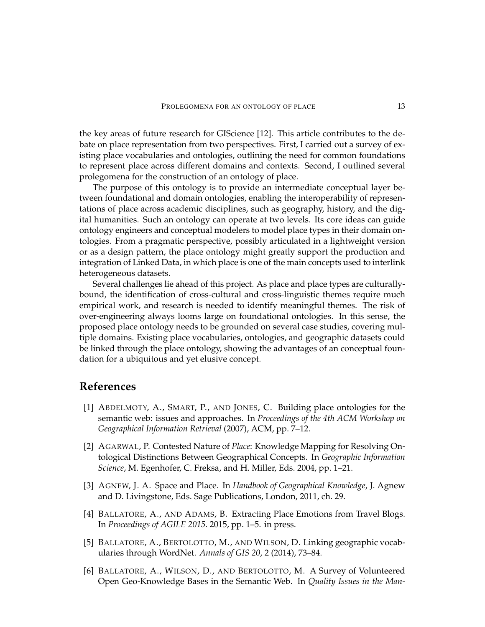the key areas of future research for GIScience [12]. This article contributes to the debate on place representation from two perspectives. First, I carried out a survey of existing place vocabularies and ontologies, outlining the need for common foundations to represent place across different domains and contexts. Second, I outlined several prolegomena for the construction of an ontology of place.

The purpose of this ontology is to provide an intermediate conceptual layer between foundational and domain ontologies, enabling the interoperability of representations of place across academic disciplines, such as geography, history, and the digital humanities. Such an ontology can operate at two levels. Its core ideas can guide ontology engineers and conceptual modelers to model place types in their domain ontologies. From a pragmatic perspective, possibly articulated in a lightweight version or as a design pattern, the place ontology might greatly support the production and integration of Linked Data, in which place is one of the main concepts used to interlink heterogeneous datasets.

Several challenges lie ahead of this project. As place and place types are culturallybound, the identification of cross-cultural and cross-linguistic themes require much empirical work, and research is needed to identify meaningful themes. The risk of over-engineering always looms large on foundational ontologies. In this sense, the proposed place ontology needs to be grounded on several case studies, covering multiple domains. Existing place vocabularies, ontologies, and geographic datasets could be linked through the place ontology, showing the advantages of an conceptual foundation for a ubiquitous and yet elusive concept.

### **References**

- [1] ABDELMOTY, A., SMART, P., AND JONES, C. Building place ontologies for the semantic web: issues and approaches. In *Proceedings of the 4th ACM Workshop on Geographical Information Retrieval* (2007), ACM, pp. 7–12.
- [2] AGARWAL, P. Contested Nature of *Place*: Knowledge Mapping for Resolving Ontological Distinctions Between Geographical Concepts. In *Geographic Information Science*, M. Egenhofer, C. Freksa, and H. Miller, Eds. 2004, pp. 1–21.
- [3] AGNEW, J. A. Space and Place. In *Handbook of Geographical Knowledge*, J. Agnew and D. Livingstone, Eds. Sage Publications, London, 2011, ch. 29.
- [4] BALLATORE, A., AND ADAMS, B. Extracting Place Emotions from Travel Blogs. In *Proceedings of AGILE 2015*. 2015, pp. 1–5. in press.
- [5] BALLATORE, A., BERTOLOTTO, M., AND WILSON, D. Linking geographic vocabularies through WordNet. *Annals of GIS 20*, 2 (2014), 73–84.
- [6] BALLATORE, A., WILSON, D., AND BERTOLOTTO, M. A Survey of Volunteered Open Geo-Knowledge Bases in the Semantic Web. In *Quality Issues in the Man-*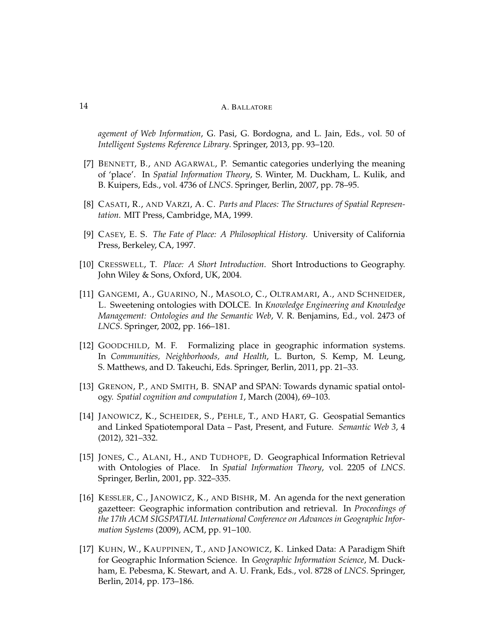*agement of Web Information*, G. Pasi, G. Bordogna, and L. Jain, Eds., vol. 50 of *Intelligent Systems Reference Library*. Springer, 2013, pp. 93–120.

- [7] BENNETT, B., AND AGARWAL, P. Semantic categories underlying the meaning of 'place'. In *Spatial Information Theory*, S. Winter, M. Duckham, L. Kulik, and B. Kuipers, Eds., vol. 4736 of *LNCS*. Springer, Berlin, 2007, pp. 78–95.
- [8] CASATI, R., AND VARZI, A. C. *Parts and Places: The Structures of Spatial Representation*. MIT Press, Cambridge, MA, 1999.
- [9] CASEY, E. S. *The Fate of Place: A Philosophical History*. University of California Press, Berkeley, CA, 1997.
- [10] CRESSWELL, T. *Place: A Short Introduction*. Short Introductions to Geography. John Wiley & Sons, Oxford, UK, 2004.
- [11] GANGEMI, A., GUARINO, N., MASOLO, C., OLTRAMARI, A., AND SCHNEIDER, L. Sweetening ontologies with DOLCE. In *Knowledge Engineering and Knowledge Management: Ontologies and the Semantic Web*, V. R. Benjamins, Ed., vol. 2473 of *LNCS*. Springer, 2002, pp. 166–181.
- [12] GOODCHILD, M. F. Formalizing place in geographic information systems. In *Communities, Neighborhoods, and Health*, L. Burton, S. Kemp, M. Leung, S. Matthews, and D. Takeuchi, Eds. Springer, Berlin, 2011, pp. 21–33.
- [13] GRENON, P., AND SMITH, B. SNAP and SPAN: Towards dynamic spatial ontology. *Spatial cognition and computation 1*, March (2004), 69–103.
- [14] JANOWICZ, K., SCHEIDER, S., PEHLE, T., AND HART, G. Geospatial Semantics and Linked Spatiotemporal Data – Past, Present, and Future. *Semantic Web 3*, 4 (2012), 321–332.
- [15] JONES, C., ALANI, H., AND TUDHOPE, D. Geographical Information Retrieval with Ontologies of Place. In *Spatial Information Theory*, vol. 2205 of *LNCS*. Springer, Berlin, 2001, pp. 322–335.
- [16] KESSLER, C., JANOWICZ, K., AND BISHR, M. An agenda for the next generation gazetteer: Geographic information contribution and retrieval. In *Proceedings of the 17th ACM SIGSPATIAL International Conference on Advances in Geographic Information Systems* (2009), ACM, pp. 91–100.
- [17] KUHN, W., KAUPPINEN, T., AND JANOWICZ, K. Linked Data: A Paradigm Shift for Geographic Information Science. In *Geographic Information Science*, M. Duckham, E. Pebesma, K. Stewart, and A. U. Frank, Eds., vol. 8728 of *LNCS*. Springer, Berlin, 2014, pp. 173–186.